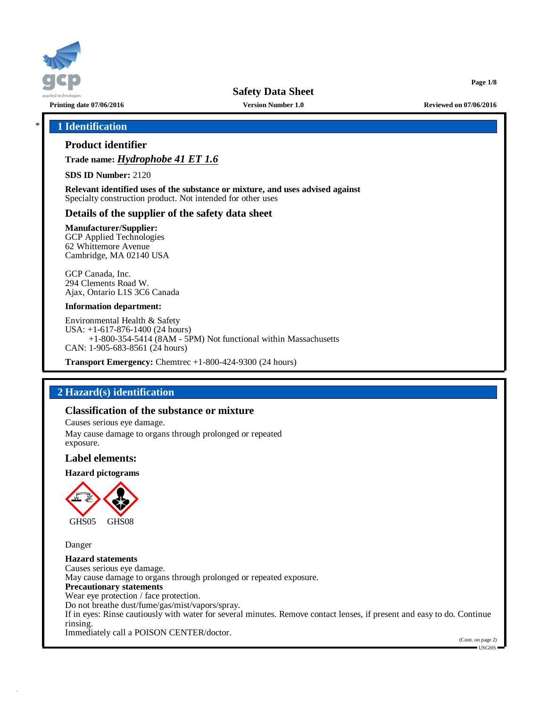

**Safety Data Sheet**

# \* **1 Identification**

# **Product identifier**

**Trade name:** *Hydrophobe 41 ET 1.6*

**SDS ID Number:** 2120

**Relevant identified uses of the substance or mixture, and uses advised against** Specialty construction product. Not intended for other uses

# **Details of the supplier of the safety data sheet**

# **Manufacturer/Supplier:**

GCP Applied Technologies 62 Whittemore Avenue Cambridge, MA 02140 USA

GCP Canada, Inc. 294 Clements Road W. Ajax, Ontario L1S 3C6 Canada

#### **Information department:**

Environmental Health & Safety USA: +1-617-876-1400 (24 hours) +1-800-354-5414 (8AM - 5PM) Not functional within Massachusetts CAN: 1-905-683-8561 (24 hours)

**Transport Emergency:** Chemtrec +1-800-424-9300 (24 hours)

# **2 Hazard(s) identification**

# **Classification of the substance or mixture**

Causes serious eye damage.

May cause damage to organs through prolonged or repeated exposure.

# **Label elements:**

**Hazard pictograms**



Danger

# **Hazard statements**

Causes serious eye damage. May cause damage to organs through prolonged or repeated exposure. **Precautionary statements** Wear eye protection / face protection. Do not breathe dust/fume/gas/mist/vapors/spray. If in eyes: Rinse cautiously with water for several minutes. Remove contact lenses, if present and easy to do. Continue rinsing. Immediately call a POISON CENTER/doctor.

(Cont. on page 2) USGHS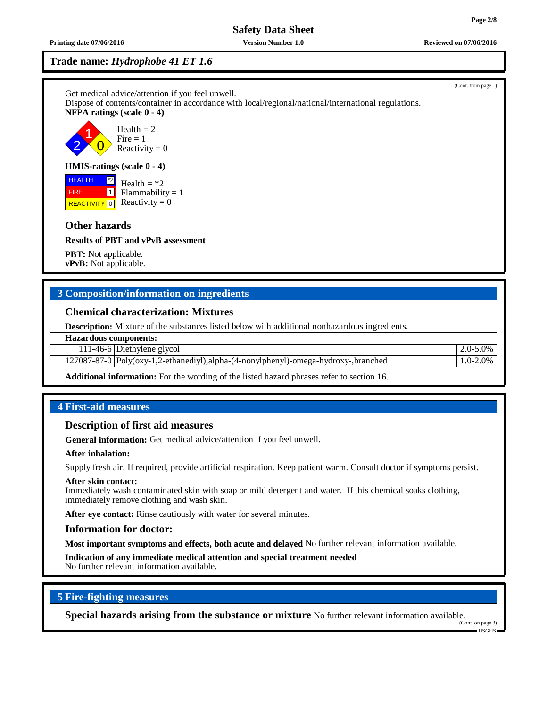**Printing date 07/06/2016 Version Number 1.0 Reviewed on 07/06/2016**

# **Trade name:** *Hydrophobe 41 ET 1.6*

Get medical advice/attention if you feel unwell. Dispose of contents/container in accordance with local/regional/national/international regulations. **NFPA ratings (scale 0 - 4)**



**HMIS-ratings (scale 0 - 4)**

**HEALTH**  FIRE REACTIVITY  $\boxed{0}$  Reactivity = 0  $\mathbf{r}_2$ 1 Health  $=$  \*2  $Flammability = 1$ 

## **Other hazards**

**Results of PBT and vPvB assessment**

**PBT:** Not applicable. **vPvB:** Not applicable.

# **3 Composition/information on ingredients**

# **Chemical characterization: Mixtures**

**Description:** Mixture of the substances listed below with additional nonhazardous ingredients.

**Hazardous components:**

111-46-6 Diethylene glycol 2.0-5.0%

127087-87-0 Poly(oxy-1,2-ethanediyl),alpha-(4-nonylphenyl)-omega-hydroxy-,branched 1.0-2.0%

**Additional information:** For the wording of the listed hazard phrases refer to section 16.

# **4 First-aid measures**

# **Description of first aid measures**

**General information:** Get medical advice/attention if you feel unwell.

#### **After inhalation:**

Supply fresh air. If required, provide artificial respiration. Keep patient warm. Consult doctor if symptoms persist.

#### **After skin contact:**

Immediately wash contaminated skin with soap or mild detergent and water. If this chemical soaks clothing, immediately remove clothing and wash skin.

**After eye contact:** Rinse cautiously with water for several minutes.

# **Information for doctor:**

**Most important symptoms and effects, both acute and delayed** No further relevant information available.

**Indication of any immediate medical attention and special treatment needed**

No further relevant information available.

# **5 Fire-fighting measures**

**Special hazards arising from the substance or mixture** No further relevant information available.

(Cont. from page 1)

#### (Cont. on page 3) USGHS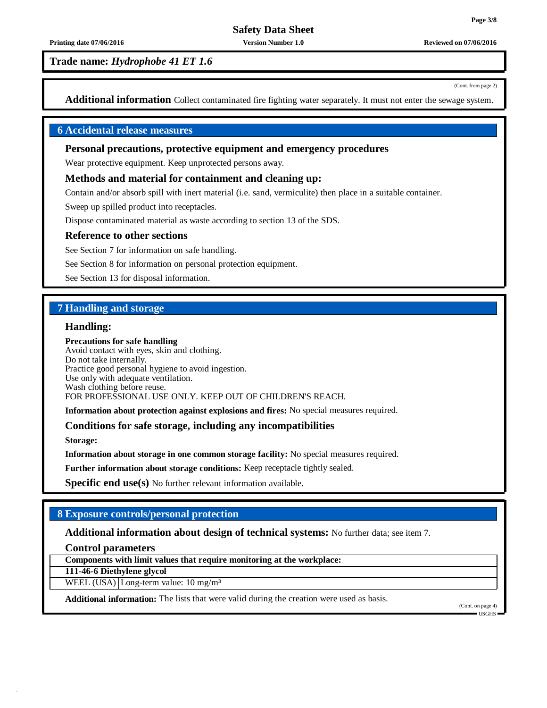# **Safety Data Sheet**

**Printing date 07/06/2016 Version Number 1.0 Reviewed on 07/06/2016**

**Trade name:** *Hydrophobe 41 ET 1.6*

(Cont. from page 2)

**Additional information** Collect contaminated fire fighting water separately. It must not enter the sewage system.

# **6 Accidental release measures**

# **Personal precautions, protective equipment and emergency procedures**

Wear protective equipment. Keep unprotected persons away.

#### **Methods and material for containment and cleaning up:**

Contain and/or absorb spill with inert material (i.e. sand, vermiculite) then place in a suitable container.

Sweep up spilled product into receptacles.

Dispose contaminated material as waste according to section 13 of the SDS.

#### **Reference to other sections**

See Section 7 for information on safe handling.

See Section 8 for information on personal protection equipment.

See Section 13 for disposal information.

# **7 Handling and storage**

# **Handling:**

#### **Precautions for safe handling**

Avoid contact with eyes, skin and clothing. Do not take internally. Practice good personal hygiene to avoid ingestion. Use only with adequate ventilation. Wash clothing before reuse. FOR PROFESSIONAL USE ONLY. KEEP OUT OF CHILDREN'S REACH.

**Information about protection against explosions and fires:** No special measures required.

#### **Conditions for safe storage, including any incompatibilities**

**Storage:**

**Information about storage in one common storage facility:** No special measures required.

**Further information about storage conditions:** Keep receptacle tightly sealed.

**Specific end use(s)** No further relevant information available.

# **8 Exposure controls/personal protection**

#### **Additional information about design of technical systems:** No further data; see item 7.

**Control parameters**

**Components with limit values that require monitoring at the workplace:**

**111-46-6 Diethylene glycol**

WEEL (USA) Long-term value:  $10 \text{ mg/m}^3$ 

**Additional information:** The lists that were valid during the creation were used as basis.

(Cont. on page 4) USGHS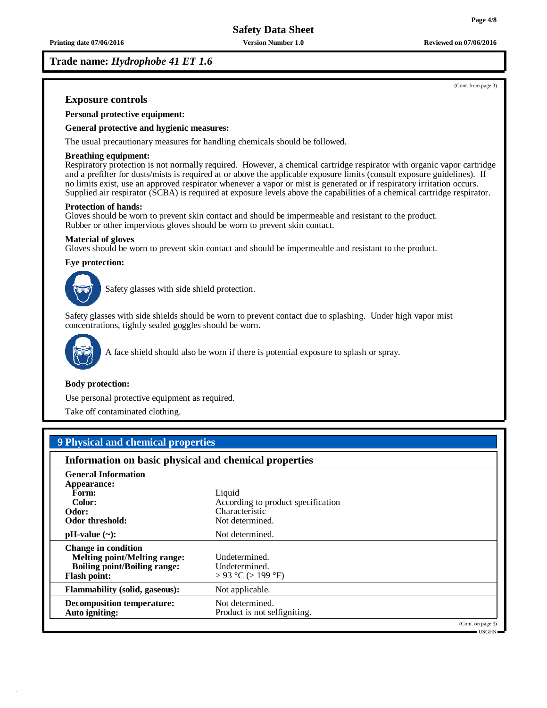**Printing date 07/06/2016 Version Number 1.0 Reviewed on 07/06/2016**

# **Trade name:** *Hydrophobe 41 ET 1.6*

(Cont. from page 3)

# **Exposure controls**

**Personal protective equipment:**

#### **General protective and hygienic measures:**

The usual precautionary measures for handling chemicals should be followed.

#### **Breathing equipment:**

Respiratory protection is not normally required. However, a chemical cartridge respirator with organic vapor cartridge and a prefilter for dusts/mists is required at or above the applicable exposure limits (consult exposure guidelines). If no limits exist, use an approved respirator whenever a vapor or mist is generated or if respiratory irritation occurs. Supplied air respirator (SCBA) is required at exposure levels above the capabilities of a chemical cartridge respirator.

#### **Protection of hands:**

Gloves should be worn to prevent skin contact and should be impermeable and resistant to the product. Rubber or other impervious gloves should be worn to prevent skin contact.

#### **Material of gloves**

Gloves should be worn to prevent skin contact and should be impermeable and resistant to the product.

# **Eye protection:**



Safety glasses with side shield protection.

Safety glasses with side shields should be worn to prevent contact due to splashing. Under high vapor mist concentrations, tightly sealed goggles should be worn.



A face shield should also be worn if there is potential exposure to splash or spray.

#### **Body protection:**

Use personal protective equipment as required.

Take off contaminated clothing.

# **9 Physical and chemical properties**

| Information on basic physical and chemical properties                                                                           |                                                           |  |  |
|---------------------------------------------------------------------------------------------------------------------------------|-----------------------------------------------------------|--|--|
| <b>General Information</b>                                                                                                      |                                                           |  |  |
| Appearance:                                                                                                                     |                                                           |  |  |
| Form:                                                                                                                           | Liquid                                                    |  |  |
| Color:                                                                                                                          | According to product specification                        |  |  |
| Odor:                                                                                                                           | Characteristic                                            |  |  |
| <b>Odor threshold:</b>                                                                                                          | Not determined.                                           |  |  |
| $pH-value$ (~):                                                                                                                 | Not determined.                                           |  |  |
| <b>Change in condition</b><br><b>Melting point/Melting range:</b><br><b>Boiling point/Boiling range:</b><br><b>Flash point:</b> | Undetermined.<br>Undetermined.<br>$> 93$ °C ( $> 199$ °F) |  |  |
| <b>Flammability (solid, gaseous):</b>                                                                                           | Not applicable.                                           |  |  |
| <b>Decomposition temperature:</b><br>Auto igniting:                                                                             | Not determined.<br>Product is not selfigniting.           |  |  |
|                                                                                                                                 | (Cont. on page 5)<br>$\blacksquare$ DECREE                |  |  |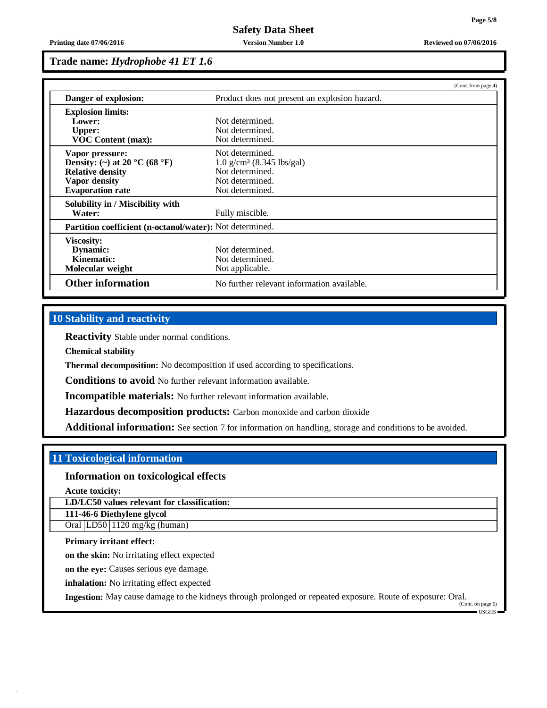**Safety Data Sheet**

**Printing date 07/06/2016 Version Number 1.0 Reviewed on 07/06/2016**

**Trade name:** *Hydrophobe 41 ET 1.6*

|                                                          | (Cont. from page 4)                           |
|----------------------------------------------------------|-----------------------------------------------|
| Danger of explosion:                                     | Product does not present an explosion hazard. |
| <b>Explosion limits:</b>                                 |                                               |
| Lower:                                                   | Not determined.                               |
| <b>Upper:</b>                                            | Not determined.                               |
| <b>VOC Content (max):</b>                                | Not determined.                               |
| Vapor pressure:                                          | Not determined.                               |
| Density: (~) at 20 °C (68 °F)                            | $1.0$ g/cm <sup>3</sup> (8.345 lbs/gal)       |
| <b>Relative density</b>                                  | Not determined.                               |
| Vapor density                                            | Not determined.                               |
| <b>Evaporation rate</b>                                  | Not determined.                               |
| Solubility in / Miscibility with                         |                                               |
| Water:                                                   | Fully miscible.                               |
| Partition coefficient (n-octanol/water): Not determined. |                                               |
| <b>Viscosity:</b>                                        |                                               |
| Dynamic:                                                 | Not determined.                               |
| Kinematic:                                               | Not determined.                               |
| Molecular weight                                         | Not applicable.                               |
| <b>Other information</b>                                 | No further relevant information available.    |

# **10 Stability and reactivity**

**Reactivity** Stable under normal conditions.

**Chemical stability**

**Thermal decomposition:** No decomposition if used according to specifications.

**Conditions to avoid** No further relevant information available.

**Incompatible materials:** No further relevant information available.

**Hazardous decomposition products:** Carbon monoxide and carbon dioxide

**Additional information:** See section 7 for information on handling, storage and conditions to be avoided.

# **11 Toxicological information**

# **Information on toxicological effects**

**Acute toxicity:**

**LD/LC50 values relevant for classification:**

**111-46-6 Diethylene glycol**

Oral LD50 1120 mg/kg (human)

# **Primary irritant effect:**

**on the skin:** No irritating effect expected

**on the eye:** Causes serious eye damage.

**inhalation:** No irritating effect expected

**Ingestion:** May cause damage to the kidneys through prolonged or repeated exposure. Route of exposure: Oral.

(Cont. on page 6) USGHS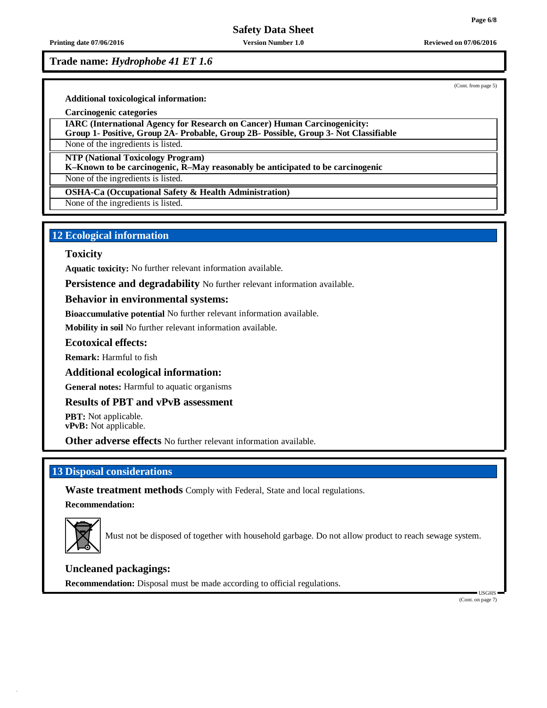(Cont. from page 5)

**Safety Data Sheet**

**Printing date 07/06/2016 Version Number 1.0 Reviewed on 07/06/2016**

**Trade name:** *Hydrophobe 41 ET 1.6*

**Additional toxicological information:**

**Carcinogenic categories**

**IARC (International Agency for Research on Cancer) Human Carcinogenicity:**

**Group 1- Positive, Group 2A- Probable, Group 2B- Possible, Group 3- Not Classifiable**

None of the ingredients is listed.

**NTP (National Toxicology Program)**

**K–Known to be carcinogenic, R–May reasonably be anticipated to be carcinogenic**

None of the ingredients is listed.

**OSHA-Ca (Occupational Safety & Health Administration)**

None of the ingredients is listed.

# **12 Ecological information**

## **Toxicity**

**Aquatic toxicity:** No further relevant information available.

**Persistence and degradability** No further relevant information available.

## **Behavior in environmental systems:**

**Bioaccumulative potential** No further relevant information available.

**Mobility in soil** No further relevant information available.

**Ecotoxical effects:**

**Remark:** Harmful to fish

**Additional ecological information:**

**General notes:** Harmful to aquatic organisms

**Results of PBT and vPvB assessment**

**PBT:** Not applicable. **vPvB:** Not applicable.

**Other adverse effects** No further relevant information available.

# **13 Disposal considerations**

**Waste treatment methods** Comply with Federal, State and local regulations.

**Recommendation:**



Must not be disposed of together with household garbage. Do not allow product to reach sewage system.

# **Uncleaned packagings:**

**Recommendation:** Disposal must be made according to official regulations.

USGHS (Cont. on page 7)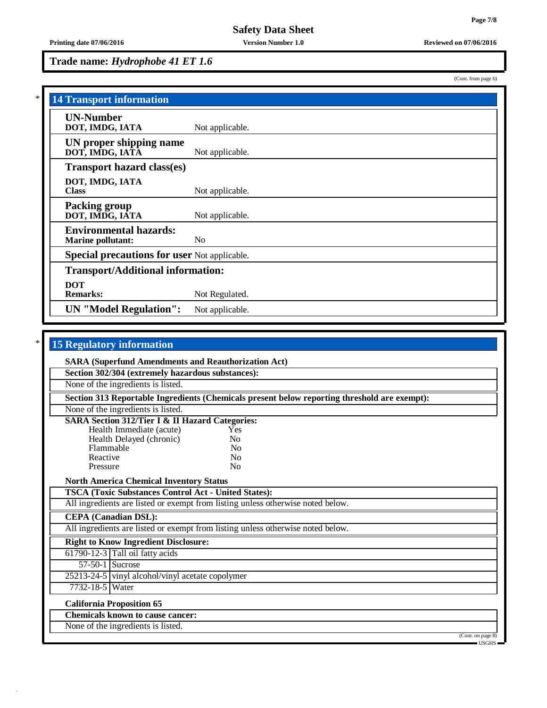(Cont. from page 6)

# **Trade name:** *Hydrophobe 41 ET 1.6*

| <b>14 Transport information</b>                           |                                                     |  |  |
|-----------------------------------------------------------|-----------------------------------------------------|--|--|
| <b>UN-Number</b><br>DOT, IMDG, IATA                       | Not applicable.                                     |  |  |
| UN proper shipping name<br>DOT, IMDG, IATÃ                | Not applicable.                                     |  |  |
| <b>Transport hazard class(es)</b>                         |                                                     |  |  |
| DOT, IMDG, IATA<br><b>Class</b>                           | Not applicable.                                     |  |  |
| <b>Packing group</b><br>DOT, IMDG, IATA                   | Not applicable.                                     |  |  |
| <b>Environmental hazards:</b><br><b>Marine pollutant:</b> | N <sub>0</sub>                                      |  |  |
|                                                           | <b>Special precautions for user Not applicable.</b> |  |  |
| <b>Transport/Additional information:</b>                  |                                                     |  |  |
| <b>DOT</b><br><b>Remarks:</b>                             | Not Regulated.                                      |  |  |
| <b>UN</b> "Model Regulation":                             | Not applicable.                                     |  |  |

# \* **15 Regulatory information**

| 15 Regulatory mitorination                                                      |                |                                                                                              |
|---------------------------------------------------------------------------------|----------------|----------------------------------------------------------------------------------------------|
| <b>SARA (Superfund Amendments and Reauthorization Act)</b>                      |                |                                                                                              |
| Section 302/304 (extremely hazardous substances):                               |                |                                                                                              |
| None of the ingredients is listed.                                              |                |                                                                                              |
|                                                                                 |                | Section 313 Reportable Ingredients (Chemicals present below reporting threshold are exempt): |
| None of the ingredients is listed.                                              |                |                                                                                              |
| <b>SARA Section 312/Tier I &amp; II Hazard Categories:</b>                      |                |                                                                                              |
| Health Immediate (acute)                                                        | Yes            |                                                                                              |
| Health Delayed (chronic)                                                        | N <sub>0</sub> |                                                                                              |
| Flammable                                                                       | N <sub>0</sub> |                                                                                              |
| Reactive                                                                        | N <sub>0</sub> |                                                                                              |
| Pressure                                                                        | N <sub>0</sub> |                                                                                              |
| <b>North America Chemical Inventory Status</b>                                  |                |                                                                                              |
| <b>TSCA (Toxic Substances Control Act - United States):</b>                     |                |                                                                                              |
| All ingredients are listed or exempt from listing unless otherwise noted below. |                |                                                                                              |
| <b>CEPA</b> (Canadian DSL):                                                     |                |                                                                                              |
| All ingredients are listed or exempt from listing unless otherwise noted below. |                |                                                                                              |
| <b>Right to Know Ingredient Disclosure:</b>                                     |                |                                                                                              |
| $61790-12-3$ Tall oil fatty acids                                               |                |                                                                                              |
| $57-50-1$ Sucrose                                                               |                |                                                                                              |
| 25213-24-5 vinyl alcohol/vinyl acetate copolymer                                |                |                                                                                              |
| 7732-18-5 Water                                                                 |                |                                                                                              |
| <b>California Proposition 65</b>                                                |                |                                                                                              |
| <b>Chemicals known to cause cancer:</b>                                         |                |                                                                                              |
| None of the ingredients is listed.                                              |                |                                                                                              |
|                                                                                 |                | (Cont. on page 8)                                                                            |
|                                                                                 |                | $\longrightarrow$ USGHS $\equiv$                                                             |